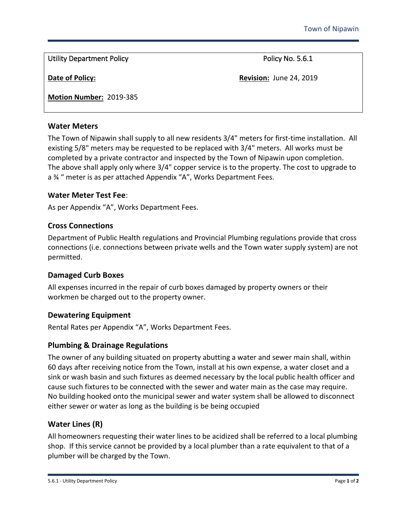Utility Department Policy **Policy Act 2018** Policy No. 5.6.1

**Date of Policy: Date of Policy: Revision:** June 24, 2019

**Motion Number:** 2019-385

### **Water Meters**

The Town of Nipawin shall supply to all new residents 3/4" meters for first-time installation. All existing 5/8" meters may be requested to be replaced with 3/4" meters. All works must be completed by a private contractor and inspected by the Town of Nipawin upon completion. The above shall apply only where 3/4" copper service is to the property. The cost to upgrade to a ¾ " meter is as per attached Appendix "A", Works Department Fees.

### **Water Meter Test Fee**:

As per Appendix "A", Works Department Fees.

# **Cross Connections**

Department of Public Health regulations and Provincial Plumbing regulations provide that cross connections (i.e. connections between private wells and the Town water supply system) are not permitted.

#### **Damaged Curb Boxes**

All expenses incurred in the repair of curb boxes damaged by property owners or their workmen be charged out to the property owner.

# **Dewatering Equipment**

Rental Rates per Appendix "A", Works Department Fees.

# **Plumbing & Drainage Regulations**

The owner of any building situated on property abutting a water and sewer main shall, within 60 days after receiving notice from the Town, install at his own expense, a water closet and a sink or wash basin and such fixtures as deemed necessary by the local public health officer and cause such fixtures to be connected with the sewer and water main as the case may require. No building hooked onto the municipal sewer and water system shall be allowed to disconnect either sewer or water as long as the building is be being occupied

# **Water Lines (R)**

All homeowners requesting their water lines to be acidized shall be referred to a local plumbing shop. If this service cannot be provided by a local plumber than a rate equivalent to that of a plumber will be charged by the Town.